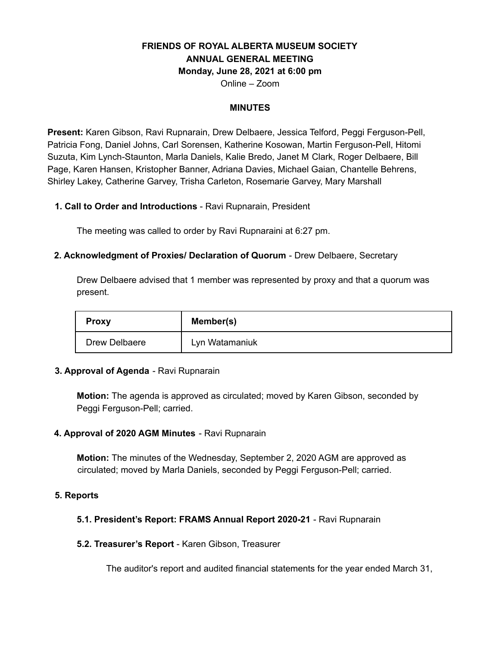# **FRIENDS OF ROYAL ALBERTA MUSEUM SOCIETY ANNUAL GENERAL MEETING Monday, June 28, 2021 at 6:00 pm**

Online – Zoom

### **MINUTES**

**Present:** Karen Gibson, Ravi Rupnarain, Drew Delbaere, Jessica Telford, Peggi Ferguson-Pell, Patricia Fong, Daniel Johns, Carl Sorensen, Katherine Kosowan, Martin Ferguson-Pell, Hitomi Suzuta, Kim Lynch-Staunton, Marla Daniels, Kalie Bredo, Janet M Clark, Roger Delbaere, Bill Page, Karen Hansen, Kristopher Banner, Adriana Davies, Michael Gaian, Chantelle Behrens, Shirley Lakey, Catherine Garvey, Trisha Carleton, Rosemarie Garvey, Mary Marshall

# **1. Call to Order and Introductions** - Ravi Rupnarain, President

The meeting was called to order by Ravi Rupnaraini at 6:27 pm.

# **2. Acknowledgment of Proxies/ Declaration of Quorum** - Drew Delbaere, Secretary

Drew Delbaere advised that 1 member was represented by proxy and that a quorum was present.

| <b>Proxy</b>  | Member(s)      |
|---------------|----------------|
| Drew Delbaere | Lyn Watamaniuk |

#### **3. Approval of Agenda** - Ravi Rupnarain

**Motion:** The agenda is approved as circulated; moved by Karen Gibson, seconded by Peggi Ferguson-Pell; carried.

# **4. Approval of 2020 AGM Minutes** - Ravi Rupnarain

**Motion:** The minutes of the Wednesday, September 2, 2020 AGM are approved as circulated; moved by Marla Daniels, seconded by Peggi Ferguson-Pell; carried.

#### **5. Reports**

# **5.1. President's Report: FRAMS Annual Report 2020-21** - Ravi Rupnarain

#### **5.2. Treasurer's Report** - Karen Gibson, Treasurer

The auditor's report and audited financial statements for the year ended March 31,